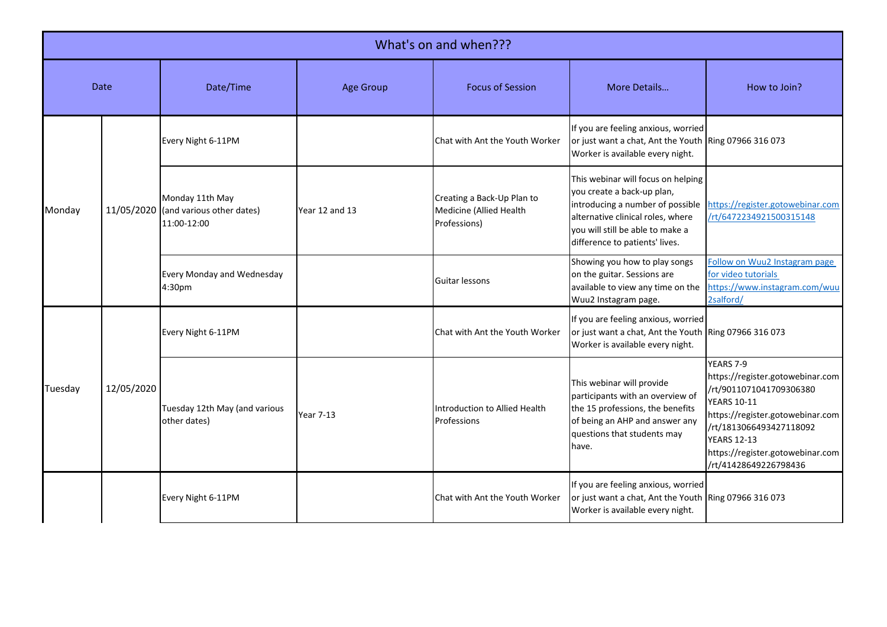|         | What's on and when??? |                                                                        |                  |                                                                       |                                                                                                                                                                                                                 |                                                                                                                                                                                                                                                  |  |  |
|---------|-----------------------|------------------------------------------------------------------------|------------------|-----------------------------------------------------------------------|-----------------------------------------------------------------------------------------------------------------------------------------------------------------------------------------------------------------|--------------------------------------------------------------------------------------------------------------------------------------------------------------------------------------------------------------------------------------------------|--|--|
|         | Date                  | Date/Time                                                              | <b>Age Group</b> | <b>Focus of Session</b>                                               | More Details                                                                                                                                                                                                    | How to Join?                                                                                                                                                                                                                                     |  |  |
|         |                       | Every Night 6-11PM                                                     |                  | Chat with Ant the Youth Worker                                        | If you are feeling anxious, worried<br>or just want a chat, Ant the Youth Ring 07966 316 073<br>Worker is available every night.                                                                                |                                                                                                                                                                                                                                                  |  |  |
| Monday  |                       | Monday 11th May<br>11/05/2020 (and various other dates)<br>11:00-12:00 | Year 12 and 13   | Creating a Back-Up Plan to<br>Medicine (Allied Health<br>Professions) | This webinar will focus on helping<br>you create a back-up plan,<br>introducing a number of possible<br>alternative clinical roles, where<br>vou will still be able to make a<br>difference to patients' lives. | https://register.gotowebinar.com<br>/rt/6472234921500315148                                                                                                                                                                                      |  |  |
|         |                       | <b>Every Monday and Wednesday</b><br>4:30pm                            |                  | Guitar lessons                                                        | Showing you how to play songs<br>on the guitar. Sessions are<br>available to view any time on the<br>Wuu2 Instagram page.                                                                                       | Follow on Wuu2 Instagram page<br>for video tutorials<br>https://www.instagram.com/wuu<br>2salford/                                                                                                                                               |  |  |
|         | 12/05/2020            | Every Night 6-11PM                                                     |                  | Chat with Ant the Youth Worker                                        | If you are feeling anxious, worried<br>or just want a chat, Ant the Youth Ring 07966 316 073<br>Worker is available every night.                                                                                |                                                                                                                                                                                                                                                  |  |  |
| Tuesday |                       | Tuesday 12th May (and various<br>other dates)                          | <b>Year 7-13</b> | Introduction to Allied Health<br>Professions                          | This webinar will provide<br>participants with an overview of<br>the 15 professions, the benefits<br>of being an AHP and answer any<br>questions that students may<br>have.                                     | YEARS 7-9<br>https://register.gotowebinar.com<br>/rt/9011071041709306380<br><b>YEARS 10-11</b><br>https://register.gotowebinar.com<br>/rt/1813066493427118092<br><b>YEARS 12-13</b><br>https://register.gotowebinar.com<br>/rt/41428649226798436 |  |  |
|         |                       | Every Night 6-11PM                                                     |                  | Chat with Ant the Youth Worker                                        | If you are feeling anxious, worried<br>or just want a chat, Ant the Youth Ring 07966 316 073<br>Worker is available every night.                                                                                |                                                                                                                                                                                                                                                  |  |  |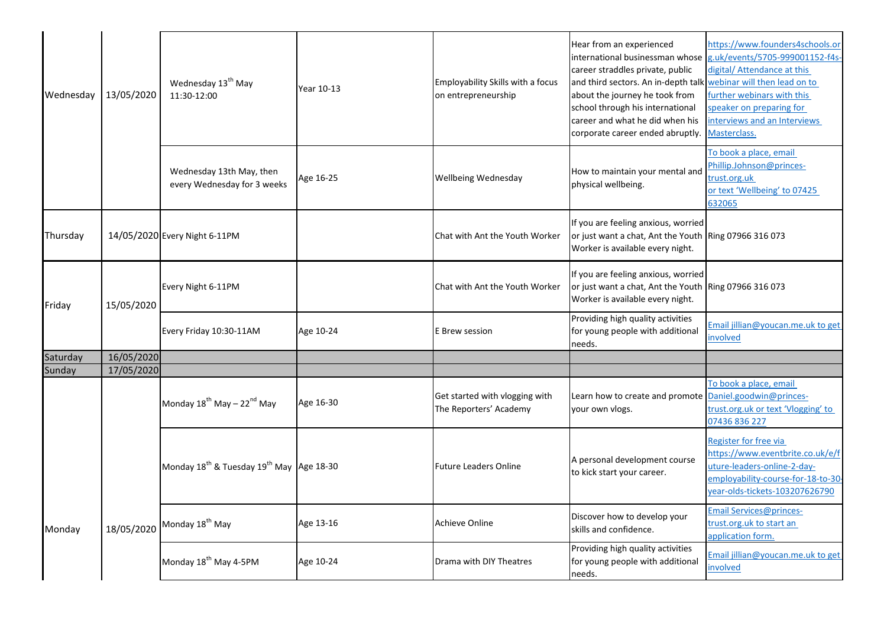| Wednesday | 13/05/2020 | Wednesday 13 <sup>th</sup> May<br>11:30-12:00                    | Year 10-13 | Employability Skills with a focus<br>on entrepreneurship | Hear from an experienced<br>international businessman whose<br>career straddles private, public<br>and third sectors. An in-depth talk webinar will then lead on to<br>about the journey he took from<br>school through his international<br>career and what he did when his<br>corporate career ended abruptly. | https://www.founders4schools.or<br>g.uk/events/5705-999001152-f4s-<br>digital/ Attendance at this<br>further webinars with this<br>speaker on preparing for<br>interviews and an Interviews<br>Masterclass. |
|-----------|------------|------------------------------------------------------------------|------------|----------------------------------------------------------|------------------------------------------------------------------------------------------------------------------------------------------------------------------------------------------------------------------------------------------------------------------------------------------------------------------|-------------------------------------------------------------------------------------------------------------------------------------------------------------------------------------------------------------|
|           |            | Wednesday 13th May, then<br>every Wednesday for 3 weeks          | Age 16-25  | Wellbeing Wednesday                                      | How to maintain your mental and<br>physical wellbeing.                                                                                                                                                                                                                                                           | To book a place, email<br>Phillip.Johnson@princes-<br>trust.org.uk<br>or text 'Wellbeing' to 07425<br>632065                                                                                                |
| Thursday  |            | 14/05/2020 Every Night 6-11PM                                    |            | Chat with Ant the Youth Worker                           | If you are feeling anxious, worried<br>or just want a chat, Ant the Youth Ring 07966 316 073<br>Worker is available every night.                                                                                                                                                                                 |                                                                                                                                                                                                             |
| Friday    | 15/05/2020 | Every Night 6-11PM                                               |            | Chat with Ant the Youth Worker                           | If you are feeling anxious, worried<br>or just want a chat, Ant the Youth Ring 07966 316 073<br>Worker is available every night.                                                                                                                                                                                 |                                                                                                                                                                                                             |
|           |            | Every Friday 10:30-11AM                                          | Age 10-24  | E Brew session                                           | Providing high quality activities<br>for young people with additional<br>needs.                                                                                                                                                                                                                                  | Email jillian@youcan.me.uk to get<br>involved                                                                                                                                                               |
| Saturday  | 16/05/2020 |                                                                  |            |                                                          |                                                                                                                                                                                                                                                                                                                  |                                                                                                                                                                                                             |
| Sunday    | 17/05/2020 |                                                                  |            |                                                          |                                                                                                                                                                                                                                                                                                                  |                                                                                                                                                                                                             |
|           |            | Monday 18 <sup>th</sup> May - 22 <sup>nd</sup> May               | Age 16-30  | Get started with vlogging with<br>The Reporters' Academy | Learn how to create and promote Daniel.goodwin@princes-<br>your own vlogs.                                                                                                                                                                                                                                       | To book a place, email<br>trust.org.uk or text 'Vlogging' to<br>07436 836 227                                                                                                                               |
|           |            | Monday 18 <sup>th</sup> & Tuesday 19 <sup>th</sup> May Age 18-30 |            | <b>Future Leaders Online</b>                             | A personal development course<br>to kick start your career.                                                                                                                                                                                                                                                      | Register for free via<br>https://www.eventbrite.co.uk/e/f<br>uture-leaders-online-2-day-<br>employability-course-for-18-to-30<br>year-olds-tickets-103207626790                                             |
| Monday    | 18/05/2020 | Monday 18 <sup>th</sup> May                                      | Age 13-16  | Achieve Online                                           | Discover how to develop your<br>skills and confidence.                                                                                                                                                                                                                                                           | Email Services@princes-<br>trust.org.uk to start an<br>application form.                                                                                                                                    |
|           |            | Monday 18 <sup>th</sup> May 4-5PM                                | Age 10-24  | Drama with DIY Theatres                                  | Providing high quality activities<br>for young people with additional<br>needs.                                                                                                                                                                                                                                  | Email jillian@youcan.me.uk to get<br>involved                                                                                                                                                               |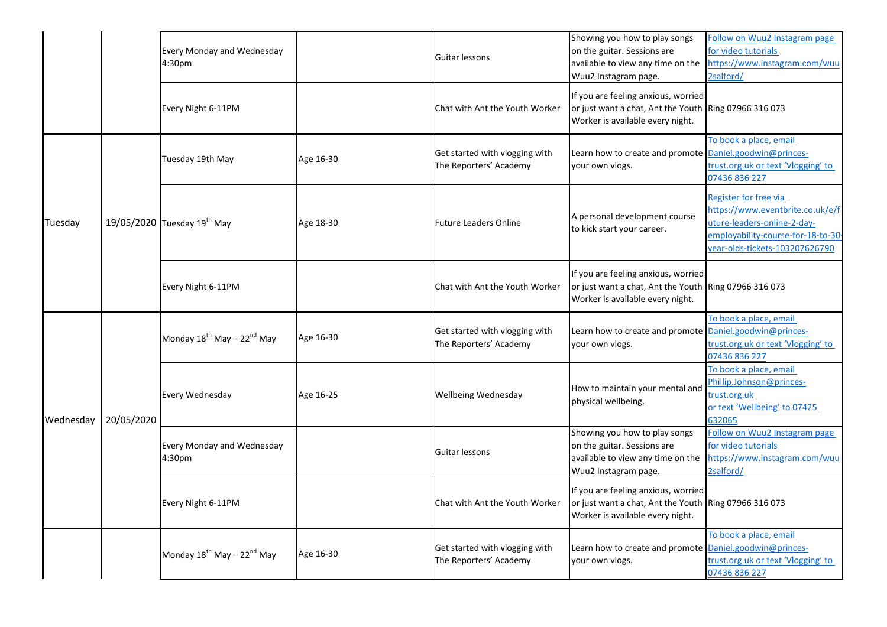|           |            | Every Monday and Wednesday<br>4:30pm               |           | Guitar lessons                                           | Showing you how to play songs<br>on the guitar. Sessions are<br>available to view any time on the<br>Wuu2 Instagram page.<br>If you are feeling anxious, worried | Follow on Wuu2 Instagram page<br>for video tutorials<br>nttps://www.instagram.com/wuu<br>2salford/                                                              |
|-----------|------------|----------------------------------------------------|-----------|----------------------------------------------------------|------------------------------------------------------------------------------------------------------------------------------------------------------------------|-----------------------------------------------------------------------------------------------------------------------------------------------------------------|
|           |            | Every Night 6-11PM                                 |           | Chat with Ant the Youth Worker                           | or just want a chat, Ant the Youth Ring 07966 316 073<br>Worker is available every night.                                                                        |                                                                                                                                                                 |
|           |            | Tuesday 19th May                                   | Age 16-30 | Get started with vlogging with<br>The Reporters' Academy | Learn how to create and promote Daniel.goodwin@princes-<br>your own vlogs.                                                                                       | To book a place, email<br>trust.org.uk or text 'Vlogging' to<br>07436 836 227                                                                                   |
| Tuesday   |            | 19/05/2020 Tuesday 19 <sup>th</sup> May            | Age 18-30 | <b>Future Leaders Online</b>                             | A personal development course<br>to kick start your career.                                                                                                      | Register for free via<br>https://www.eventbrite.co.uk/e/f<br>uture-leaders-online-2-day-<br>employability-course-for-18-to-30<br>year-olds-tickets-103207626790 |
|           |            | Every Night 6-11PM                                 |           | Chat with Ant the Youth Worker                           | If you are feeling anxious, worried<br>or just want a chat, Ant the Youth Ring 07966 316 073<br>Worker is available every night.                                 |                                                                                                                                                                 |
|           | 20/05/2020 | Monday $18^{th}$ May – $22^{nd}$ May               | Age 16-30 | Get started with vlogging with<br>The Reporters' Academy | Learn how to create and promote Daniel.goodwin@princes-<br>your own vlogs.                                                                                       | To book a place, email<br>trust.org.uk or text 'Vlogging' to<br>07436 836 227                                                                                   |
| Wednesday |            | Every Wednesday                                    | Age 16-25 | Wellbeing Wednesday                                      | How to maintain your mental and<br>physical wellbeing.                                                                                                           | To book a place, email<br>Phillip.Johnson@princes-<br>trust.org.uk<br>or text 'Wellbeing' to 07425<br>632065                                                    |
|           |            | Every Monday and Wednesday<br>4:30pm               |           | Guitar lessons                                           | Showing you how to play songs<br>on the guitar. Sessions are<br>available to view any time on the<br>Wuu2 Instagram page.                                        | Follow on Wuu2 Instagram page<br>for video tutorials<br>https://www.instagram.com/wuu<br>2salford/                                                              |
|           |            | Every Night 6-11PM                                 |           | Chat with Ant the Youth Worker                           | If you are feeling anxious, worried<br>or just want a chat, Ant the Youth Ring 07966 316 073<br>Worker is available every night.                                 |                                                                                                                                                                 |
|           |            | Monday 18 <sup>th</sup> May - 22 <sup>nd</sup> May | Age 16-30 | Get started with vlogging with<br>The Reporters' Academy | Learn how to create and promote Daniel.goodwin@princes-<br>your own vlogs.                                                                                       | To book a place, email<br>trust.org.uk or text 'Vlogging' to<br>07436 836 227                                                                                   |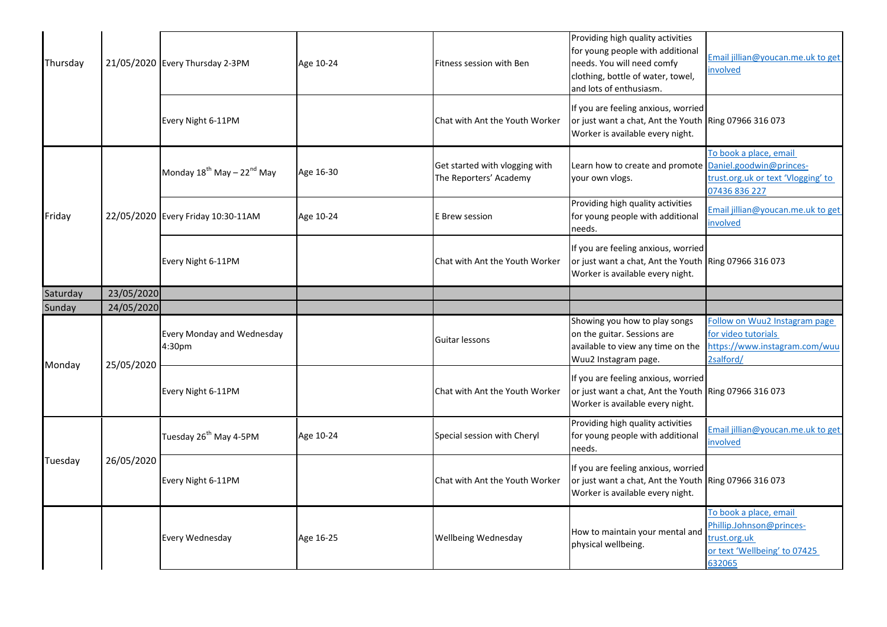| Thursday |            | 21/05/2020 Every Thursday 2-3PM                    | Age 10-24 | Fitness session with Ben                                 | Providing high quality activities<br>for young people with additional<br>needs. You will need comfy<br>clothing, bottle of water, towel,<br>and lots of enthusiasm. | Email jillian@youcan.me.uk to get<br>involved                                                      |
|----------|------------|----------------------------------------------------|-----------|----------------------------------------------------------|---------------------------------------------------------------------------------------------------------------------------------------------------------------------|----------------------------------------------------------------------------------------------------|
|          |            | Every Night 6-11PM                                 |           | Chat with Ant the Youth Worker                           | If you are feeling anxious, worried<br>or just want a chat, Ant the Youth Ring 07966 316 073<br>Worker is available every night.                                    |                                                                                                    |
|          |            | Monday 18 <sup>th</sup> May - 22 <sup>nd</sup> May | Age 16-30 | Get started with vlogging with<br>The Reporters' Academy | Learn how to create and promote Daniel.goodwin@princes-<br>your own vlogs.                                                                                          | To book a place, email<br>trust.org.uk or text 'Vlogging' to<br>07436 836 227                      |
| Friday   |            | 22/05/2020 Every Friday 10:30-11AM                 | Age 10-24 | E Brew session                                           | Providing high quality activities<br>for young people with additional<br>needs.                                                                                     | Email jillian@youcan.me.uk to get<br>involved                                                      |
|          |            | Every Night 6-11PM                                 |           | Chat with Ant the Youth Worker                           | If you are feeling anxious, worried<br>or just want a chat, Ant the Youth Ring 07966 316 073<br>Worker is available every night.                                    |                                                                                                    |
| Saturday | 23/05/2020 |                                                    |           |                                                          |                                                                                                                                                                     |                                                                                                    |
| Sunday   | 24/05/2020 |                                                    |           |                                                          |                                                                                                                                                                     |                                                                                                    |
| Monday   | 25/05/2020 | Every Monday and Wednesday<br>4:30pm               |           | Guitar lessons                                           | Showing you how to play songs<br>on the guitar. Sessions are<br>available to view any time on the<br>Wuu2 Instagram page.                                           | Follow on Wuu2 Instagram page<br>for video tutorials<br>https://www.instagram.com/wuu<br>2salford/ |
|          |            | Every Night 6-11PM                                 |           | Chat with Ant the Youth Worker                           | If you are feeling anxious, worried<br>or just want a chat, Ant the Youth Ring 07966 316 073<br>Worker is available every night.                                    |                                                                                                    |
|          |            | Tuesday 26 <sup>th</sup> May 4-5PM                 | Age 10-24 | Special session with Cheryl                              | Providing high quality activities<br>for young people with additional<br>needs.                                                                                     | Email jillian@youcan.me.uk to get<br>involved                                                      |
| Tuesday  | 26/05/2020 | Every Night 6-11PM                                 |           | Chat with Ant the Youth Worker                           | If you are feeling anxious, worried<br>or just want a chat, Ant the Youth Ring 07966 316 073<br>Worker is available every night.                                    |                                                                                                    |
|          |            | Every Wednesday                                    | Age 16-25 | Wellbeing Wednesday                                      | How to maintain your mental and                                                                                                                                     | To book a place, email<br>Phillip.Johnson@princes-<br>trust.org.uk                                 |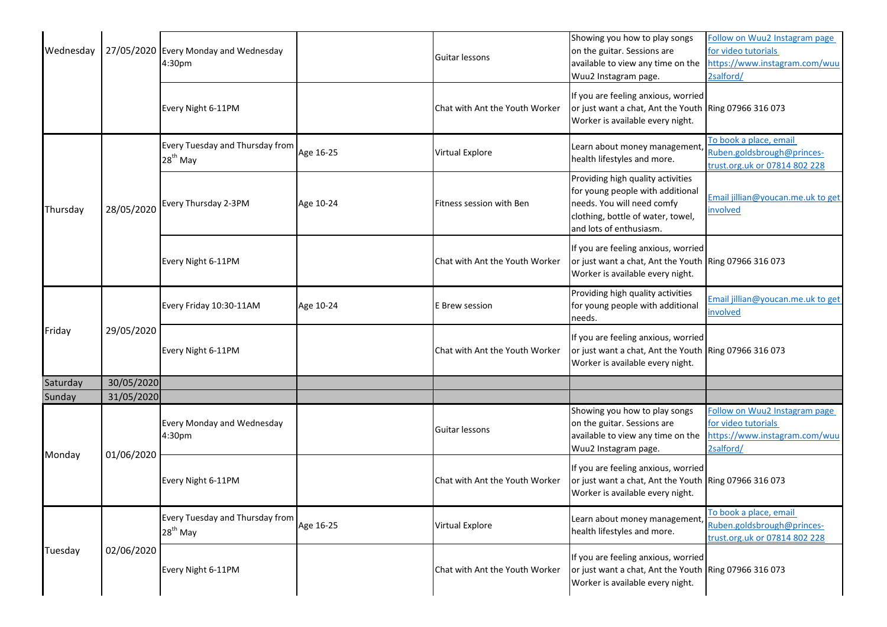| Wednesday |            | 27/05/2020 Every Monday and Wednesday<br>4:30pm |           | Guitar lessons                 | Showing you how to play songs<br>on the guitar. Sessions are<br>available to view any time on the<br>Wuu2 Instagram page.                                           | Follow on Wuu2 Instagram page<br>for video tutorials<br>https://www.instagram.com/wuu<br>2salford/ |
|-----------|------------|-------------------------------------------------|-----------|--------------------------------|---------------------------------------------------------------------------------------------------------------------------------------------------------------------|----------------------------------------------------------------------------------------------------|
|           |            | Every Night 6-11PM                              |           | Chat with Ant the Youth Worker | If you are feeling anxious, worried<br>or just want a chat, Ant the Youth Ring 07966 316 073<br>Worker is available every night.                                    |                                                                                                    |
|           |            | Every Tuesday and Thursday from<br>$28th$ May   | Age 16-25 | Virtual Explore                | Learn about money management,<br>health lifestyles and more.                                                                                                        | To book a place, email<br>Ruben.goldsbrough@princes-<br>trust.org.uk or 07814 802 228              |
| Thursday  | 28/05/2020 | Every Thursday 2-3PM                            | Age 10-24 | Fitness session with Ben       | Providing high quality activities<br>for young people with additional<br>needs. You will need comfy<br>clothing, bottle of water, towel,<br>and lots of enthusiasm. | Email jillian@youcan.me.uk to get<br>involved                                                      |
|           |            | Every Night 6-11PM                              |           | Chat with Ant the Youth Worker | If you are feeling anxious, worried<br>or just want a chat, Ant the Youth Ring 07966 316 073<br>Worker is available every night.                                    |                                                                                                    |
|           | 29/05/2020 | Every Friday 10:30-11AM                         | Age 10-24 | E Brew session                 | Providing high quality activities<br>for young people with additional<br>needs.                                                                                     | Email jillian@youcan.me.uk to get<br>involved                                                      |
| Friday    |            | Every Night 6-11PM                              |           | Chat with Ant the Youth Worker | If you are feeling anxious, worried<br>or just want a chat, Ant the Youth Ring 07966 316 073<br>Worker is available every night.                                    |                                                                                                    |
| Saturday  | 30/05/2020 |                                                 |           |                                |                                                                                                                                                                     |                                                                                                    |
| Sunday    | 31/05/2020 |                                                 |           |                                |                                                                                                                                                                     |                                                                                                    |
| Monday    | 01/06/2020 | Every Monday and Wednesday<br>4:30pm            |           | Guitar lessons                 | Showing you how to play songs<br>on the guitar. Sessions are<br>available to view any time on the<br>Wuu2 Instagram page.                                           | Follow on Wuu2 Instagram page<br>for video tutorials<br>https://www.instagram.com/wuu<br>2salford/ |
|           |            | Every Night 6-11PM                              |           | Chat with Ant the Youth Worker | If you are feeling anxious, worried<br>or just want a chat, Ant the Youth Ring 07966 316 073<br>Worker is available every night.                                    |                                                                                                    |
|           |            | Every Tuesday and Thursday from<br>$28th$ May   | Age 16-25 | Virtual Explore                | Learn about money management,<br>health lifestyles and more.                                                                                                        | To book a place, email<br>Ruben.goldsbrough@princes-<br>trust.org.uk or 07814 802 228              |
| Tuesday   | 02/06/2020 | Every Night 6-11PM                              |           | Chat with Ant the Youth Worker | If you are feeling anxious, worried<br>or just want a chat, Ant the Youth Ring 07966 316 073<br>Worker is available every night.                                    |                                                                                                    |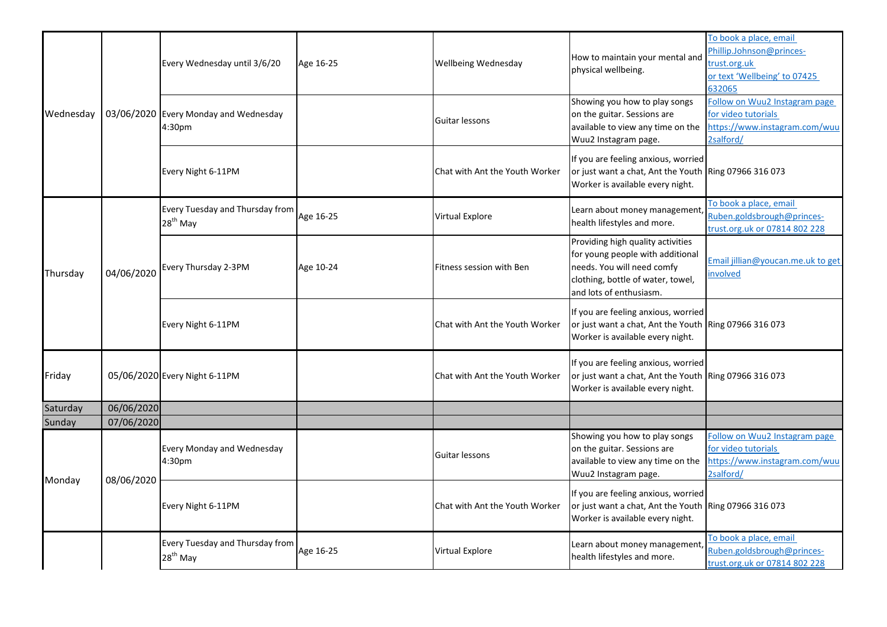|           |            | Every Wednesday until 3/6/20                  | Age 16-25 | Wellbeing Wednesday            | How to maintain your mental and<br>physical wellbeing.                                                                                                              | To book a place, email<br>Phillip.Johnson@princes-<br>trust.org.uk<br>or text 'Wellbeing' to 07425<br>632065 |
|-----------|------------|-----------------------------------------------|-----------|--------------------------------|---------------------------------------------------------------------------------------------------------------------------------------------------------------------|--------------------------------------------------------------------------------------------------------------|
| Wednesday | 03/06/2020 | Every Monday and Wednesday<br>4:30pm          |           | Guitar lessons                 | Showing you how to play songs<br>on the guitar. Sessions are<br>available to view any time on the<br>Wuu2 Instagram page.                                           | Follow on Wuu2 Instagram page<br>for video tutorials<br>https://www.instagram.com/wuu<br>2salford/           |
|           |            | Every Night 6-11PM                            |           | Chat with Ant the Youth Worker | If you are feeling anxious, worried<br>or just want a chat, Ant the Youth Ring 07966 316 073<br>Worker is available every night.                                    |                                                                                                              |
|           |            | Every Tuesday and Thursday from<br>$28th$ May | Age 16-25 | Virtual Explore                | Learn about money management,<br>health lifestyles and more.                                                                                                        | To book a place, email<br>Ruben.goldsbrough@princes-<br>trust.org.uk or 07814 802 228                        |
| Thursday  | 04/06/2020 | Every Thursday 2-3PM                          | Age 10-24 | Fitness session with Ben       | Providing high quality activities<br>for young people with additional<br>needs. You will need comfy<br>clothing, bottle of water, towel,<br>and lots of enthusiasm. | Email jillian@youcan.me.uk to get<br>nvolved                                                                 |
|           |            | Every Night 6-11PM                            |           | Chat with Ant the Youth Worker | If you are feeling anxious, worried<br>or just want a chat, Ant the Youth Ring 07966 316 073<br>Worker is available every night.                                    |                                                                                                              |
| Friday    |            | 05/06/2020 Every Night 6-11PM                 |           | Chat with Ant the Youth Worker | If you are feeling anxious, worried<br>or just want a chat, Ant the Youth Ring 07966 316 073<br>Worker is available every night.                                    |                                                                                                              |
| Saturday  | 06/06/2020 |                                               |           |                                |                                                                                                                                                                     |                                                                                                              |
| Sunday    | 07/06/2020 |                                               |           |                                |                                                                                                                                                                     |                                                                                                              |
| Monday    | 08/06/2020 | Every Monday and Wednesday<br>4:30pm          |           | Guitar lessons                 | Showing you how to play songs<br>on the guitar. Sessions are<br>available to view any time on the<br>Wuu2 Instagram page.                                           | Follow on Wuu2 Instagram page<br>for video tutorials<br>https://www.instagram.com/wuu<br>2salford/           |
|           |            | Every Night 6-11PM                            |           | Chat with Ant the Youth Worker | If you are feeling anxious, worried<br>or just want a chat, Ant the Youth Ring 07966 316 073<br>Worker is available every night.                                    |                                                                                                              |
|           |            | Every Tuesday and Thursday from<br>$28th$ May | Age 16-25 | Virtual Explore                | Learn about money management,<br>health lifestyles and more.                                                                                                        | To book a place, email<br>Ruben.goldsbrough@princes-<br>trust.org.uk or 07814 802 228                        |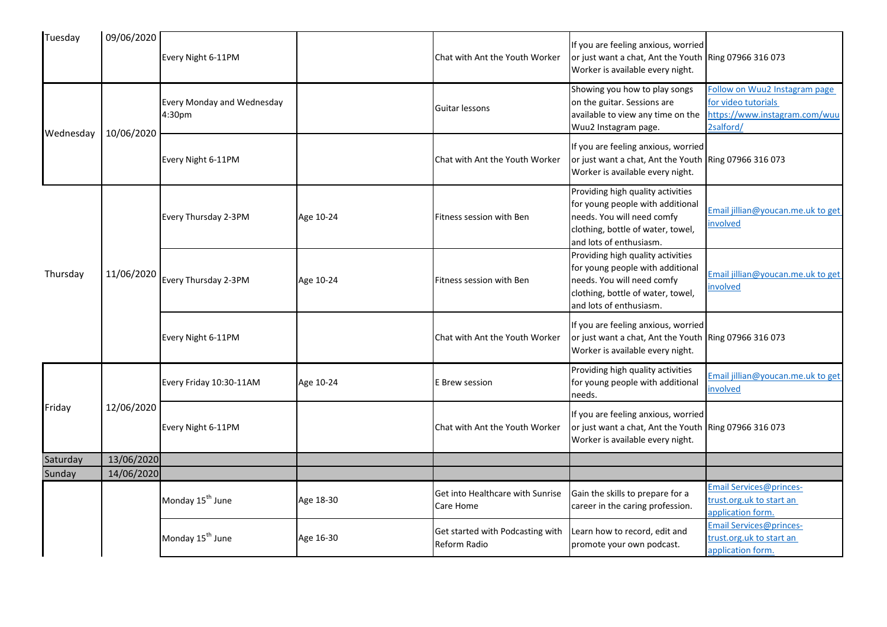| Tuesday   | 09/06/2020 | Every Night 6-11PM                                      |           | Chat with Ant the Youth Worker                   | If you are feeling anxious, worried<br>or just want a chat, Ant the Youth Ring 07966 316 073<br>Worker is available every night.                                    |                                                                                                    |
|-----------|------------|---------------------------------------------------------|-----------|--------------------------------------------------|---------------------------------------------------------------------------------------------------------------------------------------------------------------------|----------------------------------------------------------------------------------------------------|
| Wednesday | 10/06/2020 | <b>Every Monday and Wednesday</b><br>4:30 <sub>pm</sub> |           | Guitar lessons                                   | Showing you how to play songs<br>on the guitar. Sessions are<br>available to view any time on the<br>Wuu2 Instagram page.                                           | Follow on Wuu2 Instagram page<br>for video tutorials<br>https://www.instagram.com/wuu<br>2salford/ |
|           |            | Every Night 6-11PM                                      |           | Chat with Ant the Youth Worker                   | If you are feeling anxious, worried<br>or just want a chat, Ant the Youth Ring 07966 316 073<br>Worker is available every night.                                    |                                                                                                    |
|           |            | Every Thursday 2-3PM                                    | Age 10-24 | Fitness session with Ben                         | Providing high quality activities<br>for young people with additional<br>needs. You will need comfy<br>clothing, bottle of water, towel,<br>and lots of enthusiasm. | Email jillian@youcan.me.uk to get<br>nvolved                                                       |
| Thursday  | 11/06/2020 | Every Thursday 2-3PM                                    | Age 10-24 | Fitness session with Ben                         | Providing high quality activities<br>for young people with additional<br>needs. You will need comfy<br>clothing, bottle of water, towel,<br>and lots of enthusiasm. | Email jillian@youcan.me.uk to get<br>involved                                                      |
|           |            | Every Night 6-11PM                                      |           | Chat with Ant the Youth Worker                   | If you are feeling anxious, worried<br>or just want a chat, Ant the Youth Ring 07966 316 073<br>Worker is available every night.                                    |                                                                                                    |
|           |            | Every Friday 10:30-11AM                                 | Age 10-24 | E Brew session                                   | Providing high quality activities<br>for young people with additional<br>needs.                                                                                     | Imail jillian@youcan.me.uk to get<br>nvolved                                                       |
| Friday    | 12/06/2020 | Every Night 6-11PM                                      |           | Chat with Ant the Youth Worker                   | If you are feeling anxious, worried<br>or just want a chat, Ant the Youth Ring 07966 316 073<br>Worker is available every night.                                    |                                                                                                    |
| Saturday  | 13/06/2020 |                                                         |           |                                                  |                                                                                                                                                                     |                                                                                                    |
| Sunday    | 14/06/2020 |                                                         |           |                                                  |                                                                                                                                                                     |                                                                                                    |
|           |            | Monday 15 <sup>th</sup> June                            | Age 18-30 | Get into Healthcare with Sunrise<br>Care Home    | Gain the skills to prepare for a<br>career in the caring profession.                                                                                                | Email Services@princes-<br>trust.org.uk to start an<br>application form.                           |
|           |            | Monday 15 <sup>th</sup> June                            | Age 16-30 | Get started with Podcasting with<br>Reform Radio | Learn how to record, edit and<br>promote your own podcast.                                                                                                          | Email Services@princes-<br>rust.org.uk to start an<br>application form.                            |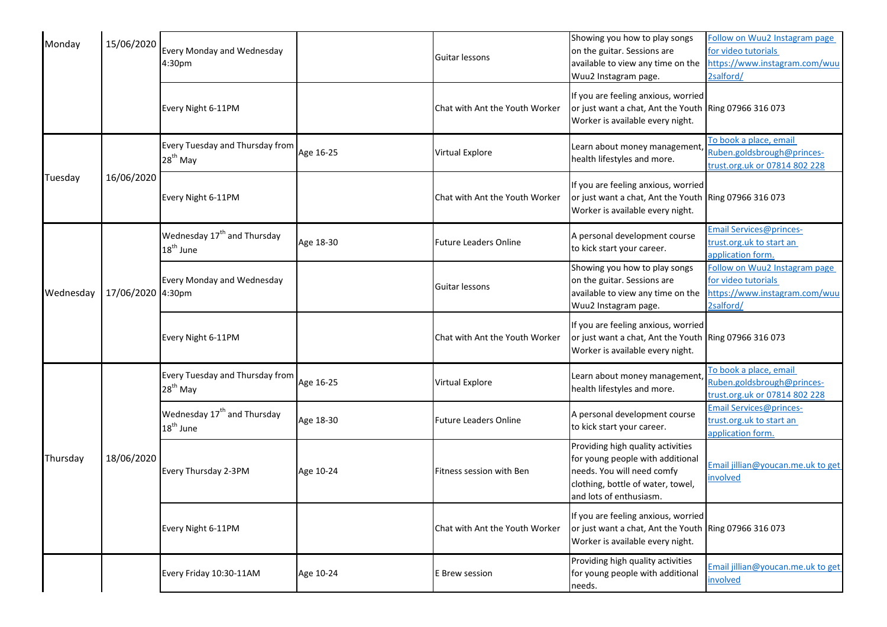| Monday    | 15/06/2020        | Every Monday and Wednesday<br>4:30pm                             |           | Guitar lessons                 | Showing you how to play songs<br>on the guitar. Sessions are<br>available to view any time on the<br>Wuu2 Instagram page.                                           | Follow on Wuu2 Instagram page<br>for video tutorials<br>https://www.instagram.com/wuu<br>2salford/ |
|-----------|-------------------|------------------------------------------------------------------|-----------|--------------------------------|---------------------------------------------------------------------------------------------------------------------------------------------------------------------|----------------------------------------------------------------------------------------------------|
|           |                   | Every Night 6-11PM                                               |           | Chat with Ant the Youth Worker | If you are feeling anxious, worried<br>or just want a chat, Ant the Youth Ring 07966 316 073<br>Worker is available every night.                                    |                                                                                                    |
|           |                   | Every Tuesday and Thursday from<br>$28th$ May                    | Age 16-25 | <b>Virtual Explore</b>         | Learn about money management,<br>health lifestyles and more.                                                                                                        | To book a place, email<br>Ruben.goldsbrough@princes-<br>trust.org.uk or 07814 802 228              |
| Tuesday   | 16/06/2020        | Every Night 6-11PM                                               |           | Chat with Ant the Youth Worker | If you are feeling anxious, worried<br>or just want a chat, Ant the Youth Ring 07966 316 073<br>Worker is available every night.                                    |                                                                                                    |
|           |                   | Wednesday 17 <sup>th</sup> and Thursday<br>18 <sup>th</sup> June | Age 18-30 | <b>Future Leaders Online</b>   | A personal development course<br>to kick start your career.                                                                                                         | Email Services@princes-<br>trust.org.uk to start an<br>application form.                           |
| Wednesday | 17/06/2020 4:30pm | Every Monday and Wednesday                                       |           | Guitar lessons                 | Showing you how to play songs<br>on the guitar. Sessions are<br>available to view any time on the<br>Wuu2 Instagram page.                                           | Follow on Wuu2 Instagram page<br>for video tutorials<br>https://www.instagram.com/wuu<br>2salford/ |
|           |                   | Every Night 6-11PM                                               |           | Chat with Ant the Youth Worker | If you are feeling anxious, worried<br>or just want a chat, Ant the Youth Ring 07966 316 073<br>Worker is available every night.                                    |                                                                                                    |
|           |                   | Every Tuesday and Thursday from<br>$28th$ May                    | Age 16-25 | Virtual Explore                | Learn about money management,<br>health lifestyles and more.                                                                                                        | To book a place, email<br>Ruben.goldsbrough@princes-<br>trust.org.uk or 07814 802 228              |
|           |                   | Wednesday 17 <sup>th</sup> and Thursday<br>18 <sup>th</sup> June | Age 18-30 | <b>Future Leaders Online</b>   | A personal development course<br>to kick start your career.                                                                                                         | Email Services@princes-<br>trust.org.uk to start an<br>application form.                           |
| Thursday  | 18/06/2020        | Every Thursday 2-3PM                                             | Age 10-24 | Fitness session with Ben       | Providing high quality activities<br>for young people with additional<br>needs. You will need comfy<br>clothing, bottle of water, towel,<br>and lots of enthusiasm. | Email jillian@youcan.me.uk to get<br>involved                                                      |
|           |                   | Every Night 6-11PM                                               |           | Chat with Ant the Youth Worker | If you are feeling anxious, worried<br>or just want a chat, Ant the Youth Ring 07966 316 073<br>Worker is available every night.                                    |                                                                                                    |
|           |                   | Every Friday 10:30-11AM                                          | Age 10-24 | E Brew session                 | Providing high quality activities<br>for young people with additional<br>needs.                                                                                     | Email jillian@youcan.me.uk to get<br>involved                                                      |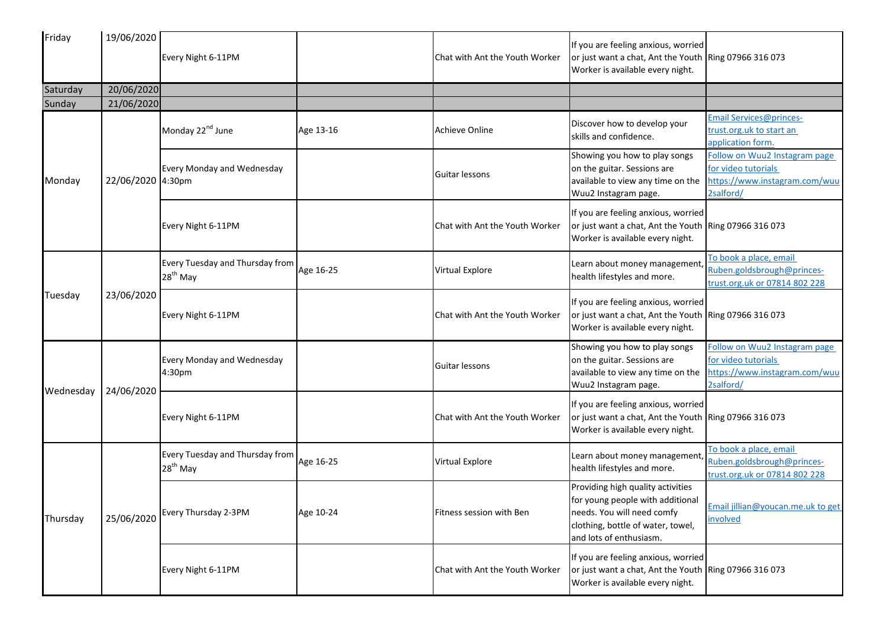| Friday    | 19/06/2020        | Every Night 6-11PM                            |           | Chat with Ant the Youth Worker | If you are feeling anxious, worried<br>or just want a chat, Ant the Youth Ring 07966 316 073<br>Worker is available every night.                                    |                                                                                                    |
|-----------|-------------------|-----------------------------------------------|-----------|--------------------------------|---------------------------------------------------------------------------------------------------------------------------------------------------------------------|----------------------------------------------------------------------------------------------------|
| Saturday  | 20/06/2020        |                                               |           |                                |                                                                                                                                                                     |                                                                                                    |
| Sunday    | 21/06/2020        |                                               |           |                                |                                                                                                                                                                     |                                                                                                    |
|           |                   | Monday 22 <sup>nd</sup> June                  | Age 13-16 | <b>Achieve Online</b>          | Discover how to develop your<br>skills and confidence.                                                                                                              | Email Services@princes-<br>trust.org.uk to start an<br>application form.                           |
| Monday    | 22/06/2020 4:30pm | Every Monday and Wednesday                    |           | Guitar lessons                 | Showing you how to play songs<br>on the guitar. Sessions are<br>available to view any time on the<br>Wuu2 Instagram page.                                           | Follow on Wuu2 Instagram page<br>for video tutorials<br>https://www.instagram.com/wuu<br>2salford/ |
|           |                   | Every Night 6-11PM                            |           | Chat with Ant the Youth Worker | If you are feeling anxious, worried<br>or just want a chat, Ant the Youth Ring 07966 316 073<br>Worker is available every night.                                    |                                                                                                    |
|           | 23/06/2020        | Every Tuesday and Thursday from<br>$28th$ May | Age 16-25 | Virtual Explore                | Learn about money management,<br>health lifestyles and more.                                                                                                        | To book a place, email<br>Ruben.goldsbrough@princes-<br>trust.org.uk or 07814 802 228              |
| Tuesday   |                   | Every Night 6-11PM                            |           | Chat with Ant the Youth Worker | If you are feeling anxious, worried<br>or just want a chat, Ant the Youth Ring 07966 316 073<br>Worker is available every night.                                    |                                                                                                    |
| Wednesday | 24/06/2020        | Every Monday and Wednesday<br>4:30pm          |           | Guitar lessons                 | Showing you how to play songs<br>on the guitar. Sessions are<br>available to view any time on the<br>Wuu2 Instagram page.                                           | Follow on Wuu2 Instagram page<br>for video tutorials<br>https://www.instagram.com/wuu<br>2salford/ |
|           |                   | Every Night 6-11PM                            |           | Chat with Ant the Youth Worker | If you are feeling anxious, worried<br>or just want a chat, Ant the Youth Ring 07966 316 073<br>Worker is available every night.                                    |                                                                                                    |
|           |                   | Every Tuesday and Thursday from<br>$28th$ May | Age 16-25 | Virtual Explore                | Learn about money management,<br>health lifestyles and more.                                                                                                        | To book a place, email<br>Ruben.goldsbrough@princes-<br>trust.org.uk or 07814 802 228              |
| Thursday  | 25/06/2020        | Every Thursday 2-3PM                          | Age 10-24 | Fitness session with Ben       | Providing high quality activities<br>for young people with additional<br>needs. You will need comfy<br>clothing, bottle of water, towel,<br>and lots of enthusiasm. | Email jillian@youcan.me.uk to get<br>involved                                                      |
|           |                   | Every Night 6-11PM                            |           | Chat with Ant the Youth Worker | If you are feeling anxious, worried<br>or just want a chat, Ant the Youth Ring 07966 316 073<br>Worker is available every night.                                    |                                                                                                    |